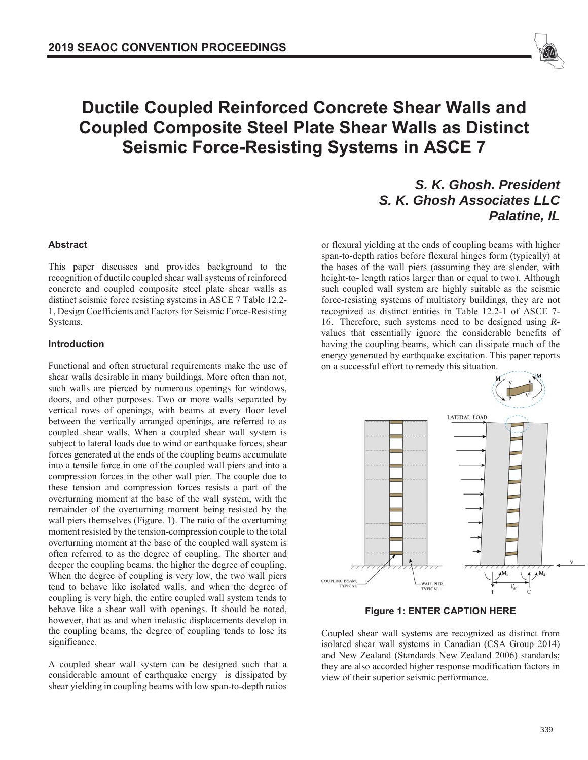

# **Ductile Coupled Reinforced Concrete Shear Walls and Coupled Composite Steel Plate Shear Walls as Distinct Seismic Force-Resisting Systems in ASCE 7**

# *S. K. Ghosh. President S. K. Ghosh Associates LLC Palatine, IL*

#### **Abstract**

This paper discusses and provides background to the recognition of ductile coupled shear wall systems of reinforced concrete and coupled composite steel plate shear walls as distinct seismic force resisting systems in ASCE 7 Table 12.2- 1, Design Coefficients and Factors for Seismic Force-Resisting Systems.

## **Introduction**

Functional and often structural requirements make the use of shear walls desirable in many buildings. More often than not, such walls are pierced by numerous openings for windows, doors, and other purposes. Two or more walls separated by vertical rows of openings, with beams at every floor level between the vertically arranged openings, are referred to as coupled shear walls. When a coupled shear wall system is subject to lateral loads due to wind or earthquake forces, shear forces generated at the ends of the coupling beams accumulate into a tensile force in one of the coupled wall piers and into a compression forces in the other wall pier. The couple due to these tension and compression forces resists a part of the overturning moment at the base of the wall system, with the remainder of the overturning moment being resisted by the wall piers themselves (Figure. 1). The ratio of the overturning moment resisted by the tension-compression couple to the total overturning moment at the base of the coupled wall system is often referred to as the degree of coupling. The shorter and deeper the coupling beams, the higher the degree of coupling. When the degree of coupling is very low, the two wall piers tend to behave like isolated walls, and when the degree of coupling is very high, the entire coupled wall system tends to behave like a shear wall with openings. It should be noted, however, that as and when inelastic displacements develop in the coupling beams, the degree of coupling tends to lose its significance.

A coupled shear wall system can be designed such that a considerable amount of earthquake energy is dissipated by shear yielding in coupling beams with low span-to-depth ratios

or flexural yielding at the ends of coupling beams with higher span-to-depth ratios before flexural hinges form (typically) at the bases of the wall piers (assuming they are slender, with height-to- length ratios larger than or equal to two). Although such coupled wall system are highly suitable as the seismic force-resisting systems of multistory buildings, they are not recognized as distinct entities in Table 12.2-1 of ASCE 7- 16. Therefore, such systems need to be designed using *R*values that essentially ignore the considerable benefits of having the coupling beams, which can dissipate much of the energy generated by earthquake excitation. This paper reports on a successful effort to remedy this situation.



**Figure 1: ENTER CAPTION HERE** 

Coupled shear wall systems are recognized as distinct from isolated shear wall systems in Canadian (CSA Group 2014) and New Zealand (Standards New Zealand 2006) standards; they are also accorded higher response modification factors in view of their superior seismic performance.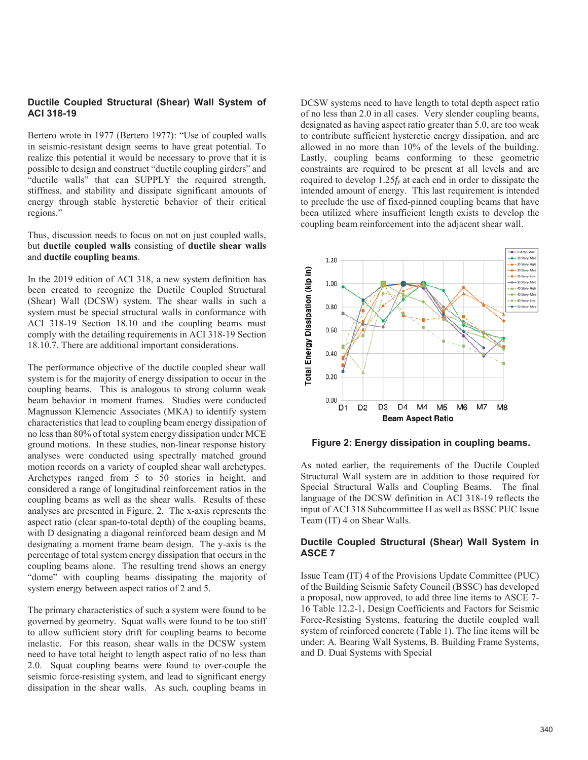#### **Ductile Coupled Structural (Shear) Wall System of ACI 318-19**

Bertero wrote in 1977 (Bertero 1977): "Use of coupled walls in seismic-resistant design seems to have great potential. To realize this potential it would be necessary to prove that it is possible to design and construct "ductile coupling girders" and "ductile walls" that can SUPPLY the required strength, stiffness, and stability and dissipate significant amounts of energy through stable hysteretic behavior of their critical regions."

Thus, discussion needs to focus on not on just coupled walls, but **ductile coupled walls** consisting of **ductile shear walls** and **ductile coupling beams**.

In the 2019 edition of ACI 318, a new system definition has been created to recognize the Ductile Coupled Structural (Shear) Wall (DCSW) system. The shear walls in such a system must be special structural walls in conformance with ACI 318-19 Section 18.10 and the coupling beams must comply with the detailing requirements in ACI 318-19 Section 18.10.7. There are additional important considerations.

The performance objective of the ductile coupled shear wall system is for the majority of energy dissipation to occur in the coupling beams. This is analogous to strong column weak beam behavior in moment frames. Studies were conducted Magnusson Klemencic Associates (MKA) to identify system characteristics that lead to coupling beam energy dissipation of no less than 80% of total system energy dissipation under MCE ground motions. In these studies, non-linear response history analyses were conducted using spectrally matched ground motion records on a variety of coupled shear wall archetypes. Archetypes ranged from 5 to 50 stories in height, and considered a range of longitudinal reinforcement ratios in the coupling beams as well as the shear walls. Results of these analyses are presented in Figure. 2. The x-axis represents the aspect ratio (clear span-to-total depth) of the coupling beams, with D designating a diagonal reinforced beam design and M designating a moment frame beam design. The y-axis is the percentage of total system energy dissipation that occurs in the coupling beams alone. The resulting trend shows an energy "dome" with coupling beams dissipating the majority of system energy between aspect ratios of 2 and 5.

The primary characteristics of such a system were found to be governed by geometry. Squat walls were found to be too stiff to allow sufficient story drift for coupling beams to become inelastic. For this reason, shear walls in the DCSW system need to have total height to length aspect ratio of no less than 2.0. Squat coupling beams were found to over-couple the seismic force-resisting system, and lead to significant energy dissipation in the shear walls. As such, coupling beams in DCSW systems need to have length to total depth aspect ratio of no less than 2.0 in all cases. Very slender coupling beams, designated as having aspect ratio greater than 5.0, are too weak to contribute sufficient hysteretic energy dissipation, and are allowed in no more than 10% of the levels of the building. Lastly, coupling beams conforming to these geometric constraints are required to be present at all levels and are required to develop 1.25*fy* at each end in order to dissipate the intended amount of energy. This last requirement is intended to preclude the use of fixed-pinned coupling beams that have been utilized where insufficient length exists to develop the coupling beam reinforcement into the adjacent shear wall.



**Figure 2: Energy dissipation in coupling beams.** 

As noted earlier, the requirements of the Ductile Coupled Structural Wall system are in addition to those required for Special Structural Walls and Coupling Beams. The final language of the DCSW definition in ACI 318-19 reflects the input of ACI 318 Subcommittee H as well as BSSC PUC Issue Team (IT) 4 on Shear Walls.

#### **Ductile Coupled Structural (Shear) Wall System in ASCE 7**

Issue Team (IT) 4 of the Provisions Update Committee (PUC) of the Building Seismic Safety Council (BSSC) has developed a proposal, now approved, to add three line items to ASCE 7- 16 Table 12.2-1, Design Coefficients and Factors for Seismic Force-Resisting Systems, featuring the ductile coupled wall system of reinforced concrete (Table 1). The line items will be under: A. Bearing Wall Systems, B. Building Frame Systems, and D. Dual Systems with Special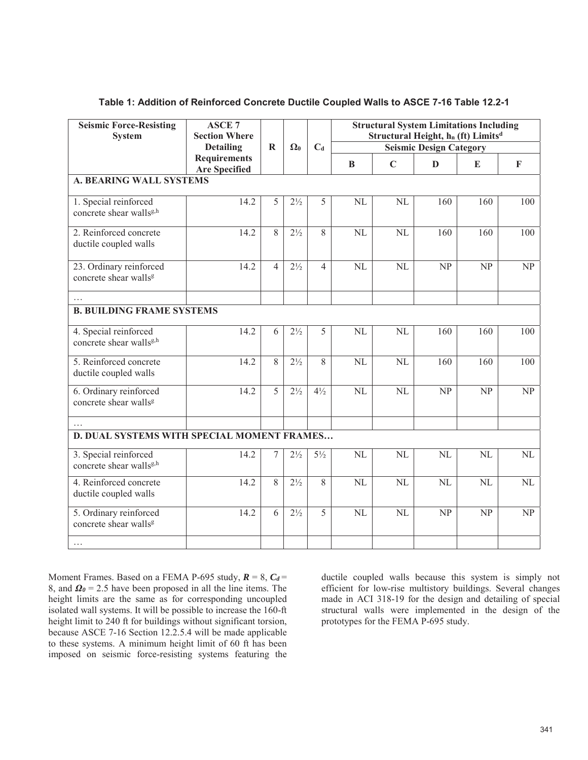| <b>Seismic Force-Resisting</b><br><b>System</b>             | <b>ASCE 7</b><br><b>Section Where</b><br><b>Detailing</b> | $\mathbf R$    | $\Omega_0$     | $C_d$          | <b>Structural System Limitations Including</b><br>Structural Height, h <sub>n</sub> (ft) Limits <sup>d</sup><br><b>Seismic Design Category</b> |             |     |     |             |  |  |
|-------------------------------------------------------------|-----------------------------------------------------------|----------------|----------------|----------------|------------------------------------------------------------------------------------------------------------------------------------------------|-------------|-----|-----|-------------|--|--|
|                                                             | <b>Requirements</b>                                       |                |                |                |                                                                                                                                                | $\mathbf C$ |     |     |             |  |  |
|                                                             | <b>Are Specified</b>                                      |                |                |                | $\bf{B}$                                                                                                                                       |             | D   | E   | $\mathbf F$ |  |  |
| <b>A. BEARING WALL SYSTEMS</b>                              |                                                           |                |                |                |                                                                                                                                                |             |     |     |             |  |  |
| 1. Special reinforced                                       | 14.2                                                      | 5              | $2\frac{1}{2}$ | 5              | NL                                                                                                                                             | NL          | 160 | 160 | 100         |  |  |
| concrete shear walls <sup>g,h</sup>                         |                                                           |                |                |                |                                                                                                                                                |             |     |     |             |  |  |
| 2. Reinforced concrete                                      | 14.2                                                      | 8              | $2\frac{1}{2}$ | 8              | NL                                                                                                                                             | NL          | 160 | 160 | 100         |  |  |
| ductile coupled walls                                       |                                                           |                |                |                |                                                                                                                                                |             |     |     |             |  |  |
| 23. Ordinary reinforced                                     | 14.2                                                      | $\overline{4}$ | $2\frac{1}{2}$ | $\overline{4}$ | NL                                                                                                                                             | NL          | NP  | NP  | NP          |  |  |
| concrete shear walls <sup>g</sup>                           |                                                           |                |                |                |                                                                                                                                                |             |     |     |             |  |  |
|                                                             |                                                           |                |                |                |                                                                                                                                                |             |     |     |             |  |  |
| <b>B. BUILDING FRAME SYSTEMS</b>                            |                                                           |                |                |                |                                                                                                                                                |             |     |     |             |  |  |
| 4. Special reinforced                                       | 14.2                                                      | 6              | $2\frac{1}{2}$ | 5              | NL                                                                                                                                             | $\rm NL$    | 160 | 160 | 100         |  |  |
| concrete shear walls <sup>g,h</sup>                         |                                                           |                |                |                |                                                                                                                                                |             |     |     |             |  |  |
| 5. Reinforced concrete                                      | 14.2                                                      | 8              | $2\frac{1}{2}$ | 8              | NL                                                                                                                                             | NL          | 160 | 160 | 100         |  |  |
| ductile coupled walls                                       |                                                           |                |                |                |                                                                                                                                                |             |     |     |             |  |  |
| 6. Ordinary reinforced                                      | 14.2                                                      | 5              | $2\frac{1}{2}$ | $4\frac{1}{2}$ | NL                                                                                                                                             | NL          | NP  | NP  | NP          |  |  |
| concrete shear walls <sup>g</sup>                           |                                                           |                |                |                |                                                                                                                                                |             |     |     |             |  |  |
| $\cdots$                                                    |                                                           |                |                |                |                                                                                                                                                |             |     |     |             |  |  |
| <b>D. DUAL SYSTEMS WITH SPECIAL MOMENT FRAMES</b>           |                                                           |                |                |                |                                                                                                                                                |             |     |     |             |  |  |
| 3. Special reinforced                                       | 14.2                                                      | 7              | $2\frac{1}{2}$ | $5\frac{1}{2}$ | NL                                                                                                                                             | NL          | NL  | NL  | NL          |  |  |
| concrete shear walls <sup>g,h</sup>                         |                                                           |                |                |                |                                                                                                                                                |             |     |     |             |  |  |
| 4. Reinforced concrete<br>ductile coupled walls             | 14.2                                                      | 8              | $2\frac{1}{2}$ | 8              | NL                                                                                                                                             | NL          | NL  | NL  | NL          |  |  |
|                                                             |                                                           |                |                |                |                                                                                                                                                |             |     |     |             |  |  |
| 5. Ordinary reinforced<br>concrete shear walls <sup>g</sup> | 14.2                                                      | 6              | $2\frac{1}{2}$ | 5              | NL                                                                                                                                             | NL          | NP  | NP  | NP          |  |  |
|                                                             |                                                           |                |                |                |                                                                                                                                                |             |     |     |             |  |  |
| $\cdots$                                                    |                                                           |                |                |                |                                                                                                                                                |             |     |     |             |  |  |

# **Table 1: Addition of Reinforced Concrete Ductile Coupled Walls to ASCE 7-16 Table 12.2-1**

Moment Frames. Based on a FEMA P-695 study,  $R = 8$ ,  $C_d =$ 8, and  $\Omega$ <sup> $0$ </sup> = 2.5 have been proposed in all the line items. The height limits are the same as for corresponding uncoupled isolated wall systems. It will be possible to increase the 160-ft height limit to 240 ft for buildings without significant torsion, because ASCE 7-16 Section 12.2.5.4 will be made applicable to these systems. A minimum height limit of 60 ft has been imposed on seismic force-resisting systems featuring the

ductile coupled walls because this system is simply not efficient for low-rise multistory buildings. Several changes made in ACI 318-19 for the design and detailing of special structural walls were implemented in the design of the prototypes for the FEMA P-695 study.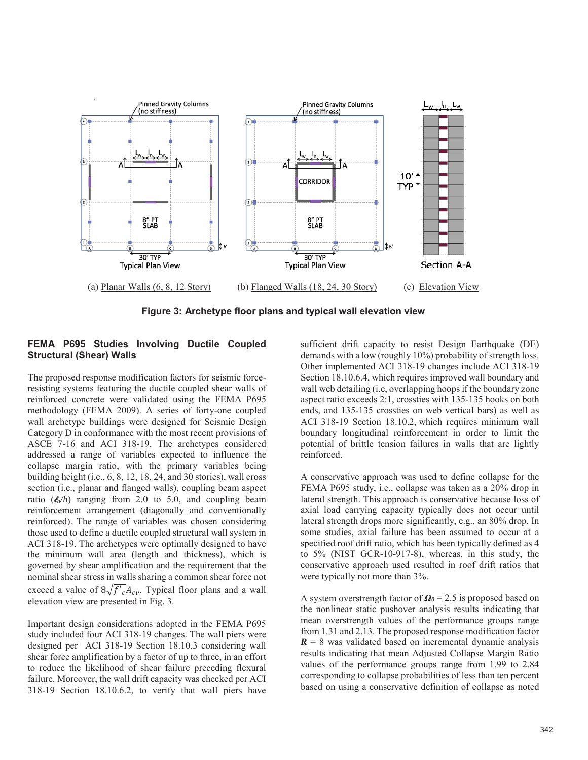

**Figure 3: Archetype floor plans and typical wall elevation view**

## **FEMA P695 Studies Involving Ductile Coupled Structural (Shear) Walls**

The proposed response modification factors for seismic forceresisting systems featuring the ductile coupled shear walls of reinforced concrete were validated using the FEMA P695 methodology (FEMA 2009). A series of forty-one coupled wall archetype buildings were designed for Seismic Design Category D in conformance with the most recent provisions of ASCE 7-16 and ACI 318-19. The archetypes considered addressed a range of variables expected to influence the collapse margin ratio, with the primary variables being building height (i.e., 6, 8, 12, 18, 24, and 30 stories), wall cross section (i.e., planar and flanged walls), coupling beam aspect ratio  $(\ell_n/h)$  ranging from 2.0 to 5.0, and coupling beam reinforcement arrangement (diagonally and conventionally reinforced). The range of variables was chosen considering those used to define a ductile coupled structural wall system in ACI 318-19. The archetypes were optimally designed to have the minimum wall area (length and thickness), which is governed by shear amplification and the requirement that the nominal shear stress in walls sharing a common shear force not exceed a value of  $8\sqrt{f'_c}A_{cv}$ . Typical floor plans and a wall elevation view are presented in Fig. 3.

Important design considerations adopted in the FEMA P695 study included four ACI 318-19 changes. The wall piers were designed per ACI 318-19 Section 18.10.3 considering wall shear force amplification by a factor of up to three, in an effort to reduce the likelihood of shear failure preceding flexural failure. Moreover, the wall drift capacity was checked per ACI 318-19 Section 18.10.6.2, to verify that wall piers have

sufficient drift capacity to resist Design Earthquake (DE) demands with a low (roughly 10%) probability of strength loss. Other implemented ACI 318-19 changes include ACI 318-19 Section 18.10.6.4, which requires improved wall boundary and wall web detailing (i.e, overlapping hoops if the boundary zone aspect ratio exceeds 2:1, crossties with 135-135 hooks on both ends, and 135-135 crossties on web vertical bars) as well as ACI 318-19 Section 18.10.2, which requires minimum wall boundary longitudinal reinforcement in order to limit the potential of brittle tension failures in walls that are lightly reinforced.

A conservative approach was used to define collapse for the FEMA P695 study, i.e., collapse was taken as a 20% drop in lateral strength. This approach is conservative because loss of axial load carrying capacity typically does not occur until lateral strength drops more significantly, e.g., an 80% drop. In some studies, axial failure has been assumed to occur at a specified roof drift ratio, which has been typically defined as 4 to 5% (NIST GCR-10-917-8), whereas, in this study, the conservative approach used resulted in roof drift ratios that were typically not more than 3%.

A system overstrength factor of  $\Omega$ <sub>0</sub> = 2.5 is proposed based on the nonlinear static pushover analysis results indicating that mean overstrength values of the performance groups range from 1.31 and 2.13. The proposed response modification factor  $R = 8$  was validated based on incremental dynamic analysis results indicating that mean Adjusted Collapse Margin Ratio values of the performance groups range from 1.99 to 2.84 corresponding to collapse probabilities of less than ten percent based on using a conservative definition of collapse as noted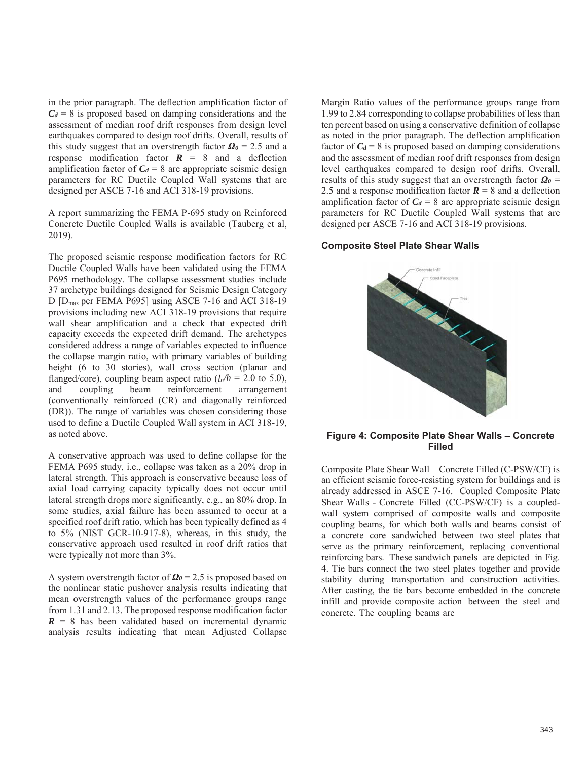in the prior paragraph. The deflection amplification factor of  $C_d = 8$  is proposed based on damping considerations and the assessment of median roof drift responses from design level earthquakes compared to design roof drifts. Overall, results of this study suggest that an overstrength factor  $\Omega_0 = 2.5$  and a response modification factor  $R = 8$  and a deflection amplification factor of  $C_d = 8$  are appropriate seismic design parameters for RC Ductile Coupled Wall systems that are designed per ASCE 7-16 and ACI 318-19 provisions.

A report summarizing the FEMA P-695 study on Reinforced Concrete Ductile Coupled Walls is available (Tauberg et al, 2019).

The proposed seismic response modification factors for RC Ductile Coupled Walls have been validated using the FEMA P695 methodology. The collapse assessment studies include 37 archetype buildings designed for Seismic Design Category D [Dmax per FEMA P695] using ASCE 7-16 and ACI 318-19 provisions including new ACI 318-19 provisions that require wall shear amplification and a check that expected drift capacity exceeds the expected drift demand. The archetypes considered address a range of variables expected to influence the collapse margin ratio, with primary variables of building height (6 to 30 stories), wall cross section (planar and flanged/core), coupling beam aspect ratio  $(l_n/h = 2.0 \text{ to } 5.0)$ , and coupling beam reinforcement arrangement (conventionally reinforced (CR) and diagonally reinforced (DR)). The range of variables was chosen considering those used to define a Ductile Coupled Wall system in ACI 318-19, as noted above.

A conservative approach was used to define collapse for the FEMA P695 study, i.e., collapse was taken as a 20% drop in lateral strength. This approach is conservative because loss of axial load carrying capacity typically does not occur until lateral strength drops more significantly, e.g., an 80% drop. In some studies, axial failure has been assumed to occur at a specified roof drift ratio, which has been typically defined as 4 to 5% (NIST GCR-10-917-8), whereas, in this study, the conservative approach used resulted in roof drift ratios that were typically not more than 3%.

A system overstrength factor of  $\Omega_0 = 2.5$  is proposed based on the nonlinear static pushover analysis results indicating that mean overstrength values of the performance groups range from 1.31 and 2.13. The proposed response modification factor  $R = 8$  has been validated based on incremental dynamic analysis results indicating that mean Adjusted Collapse Margin Ratio values of the performance groups range from 1.99 to 2.84 corresponding to collapse probabilities of less than ten percent based on using a conservative definition of collapse as noted in the prior paragraph. The deflection amplification factor of  $C_d = 8$  is proposed based on damping considerations and the assessment of median roof drift responses from design level earthquakes compared to design roof drifts. Overall, results of this study suggest that an overstrength factor  $\mathbf{Q}_{\theta} =$ 2.5 and a response modification factor  $\mathbf{R} = 8$  and a deflection amplification factor of  $C_d = 8$  are appropriate seismic design parameters for RC Ductile Coupled Wall systems that are designed per ASCE 7-16 and ACI 318-19 provisions.

#### **Composite Steel Plate Shear Walls**



#### **Figure 4: Composite Plate Shear Walls – Concrete Filled**

Composite Plate Shear Wall—Concrete Filled (C-PSW/CF) is an efficient seismic force-resisting system for buildings and is already addressed in ASCE 7-16. Coupled Composite Plate Shear Walls - Concrete Filled (CC-PSW/CF) is a coupledwall system comprised of composite walls and composite coupling beams, for which both walls and beams consist of a concrete core sandwiched between two steel plates that serve as the primary reinforcement, replacing conventional reinforcing bars. These sandwich panels are depicted in Fig. 4. Tie bars connect the two steel plates together and provide stability during transportation and construction activities. After casting, the tie bars become embedded in the concrete infill and provide composite action between the steel and concrete. The coupling beams are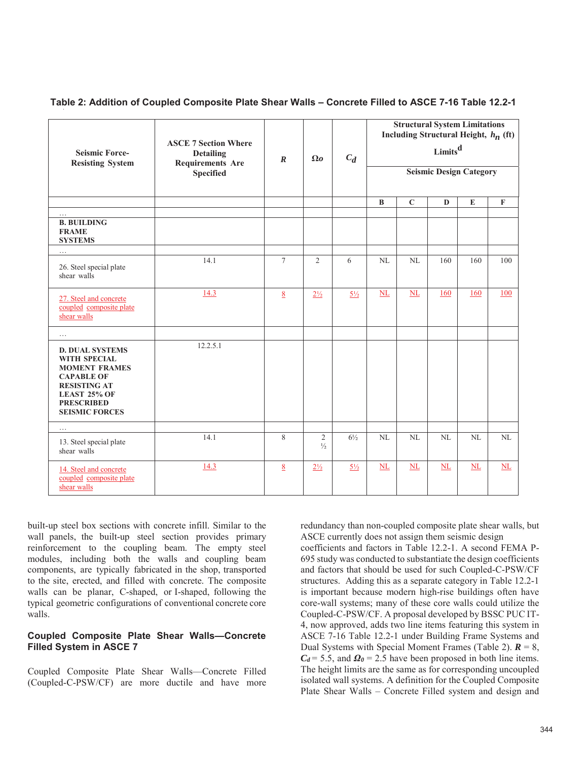| Table 2: Addition of Coupled Composite Plate Shear Walls - Concrete Filled to ASCE 7-16 Table 12.2-1 |  |  |
|------------------------------------------------------------------------------------------------------|--|--|
|                                                                                                      |  |  |

| <b>Seismic Force-</b><br><b>Resisting System</b>                                                                                                                                | <b>ASCE 7 Section Where</b><br><b>Detailing</b><br><b>Requirements Are</b><br><b>Specified</b> | $\boldsymbol{R}$ | $\Omega$                        | $C_d$          | <b>Structural System Limitations</b><br>Including Structural Height, $h_n$ (ft)<br>Limits <sup>d</sup><br><b>Seismic Design Category</b> |    |     |           |     |
|---------------------------------------------------------------------------------------------------------------------------------------------------------------------------------|------------------------------------------------------------------------------------------------|------------------|---------------------------------|----------------|------------------------------------------------------------------------------------------------------------------------------------------|----|-----|-----------|-----|
|                                                                                                                                                                                 |                                                                                                |                  |                                 |                |                                                                                                                                          |    |     |           |     |
| $\cdots$<br><b>B. BUILDING</b><br><b>FRAME</b><br><b>SYSTEMS</b>                                                                                                                |                                                                                                |                  |                                 |                |                                                                                                                                          |    |     |           |     |
| $\cdots$<br>26. Steel special plate<br>shear walls                                                                                                                              | 14.1                                                                                           | $\tau$           | $\overline{2}$                  | 6              | NL                                                                                                                                       | NL | 160 | 160       | 100 |
| 27. Steel and concrete<br>coupled composite plate<br>shear walls                                                                                                                | 14.3                                                                                           | 8                | $2\frac{1}{2}$                  | $5\frac{1}{2}$ | NL                                                                                                                                       | NL | 160 | 160       | 100 |
| $\cdots$                                                                                                                                                                        |                                                                                                |                  |                                 |                |                                                                                                                                          |    |     |           |     |
| <b>D. DUAL SYSTEMS</b><br>WITH SPECIAL<br><b>MOMENT FRAMES</b><br><b>CAPABLE OF</b><br><b>RESISTING AT</b><br><b>LEAST 25% OF</b><br><b>PRESCRIBED</b><br><b>SEISMIC FORCES</b> | 12.2.5.1                                                                                       |                  |                                 |                |                                                                                                                                          |    |     |           |     |
| $\ldots$                                                                                                                                                                        |                                                                                                |                  |                                 |                |                                                                                                                                          |    |     |           |     |
| 13. Steel special plate<br>shear walls                                                                                                                                          | 14.1                                                                                           | 8                | $\overline{2}$<br>$\frac{1}{2}$ | $6\frac{1}{2}$ | NL                                                                                                                                       | NL | NL  | NL        | NL  |
| 14. Steel and concrete<br>coupled composite plate<br>shear walls                                                                                                                | 14.3                                                                                           | 8                | $2\frac{1}{2}$                  | $5\frac{1}{2}$ | NL                                                                                                                                       | NL | NL  | <b>NL</b> | NL  |

built-up steel box sections with concrete infill. Similar to the wall panels, the built-up steel section provides primary reinforcement to the coupling beam. The empty steel modules, including both the walls and coupling beam components, are typically fabricated in the shop, transported to the site, erected, and filled with concrete. The composite walls can be planar, C-shaped, or I-shaped, following the typical geometric configurations of conventional concrete core walls.

# **Coupled Composite Plate Shear Walls—Concrete Filled System in ASCE 7**

Coupled Composite Plate Shear Walls—Concrete Filled (Coupled-C-PSW/CF) are more ductile and have more

redundancy than non-coupled composite plate shear walls, but ASCE currently does not assign them seismic design

coefficients and factors in Table 12.2-1. A second FEMA P-695 study was conducted to substantiate the design coefficients and factors that should be used for such Coupled-C-PSW/CF structures. Adding this as a separate category in Table 12.2-1 is important because modern high-rise buildings often have core-wall systems; many of these core walls could utilize the Coupled-C-PSW/CF. A proposal developed by BSSC PUC IT-4, now approved, adds two line items featuring this system in ASCE 7-16 Table 12.2-1 under Building Frame Systems and Dual Systems with Special Moment Frames (Table 2). *R* = 8,  $C_d = 5.5$ , and  $\Omega_0 = 2.5$  have been proposed in both line items. The height limits are the same as for corresponding uncoupled isolated wall systems. A definition for the Coupled Composite Plate Shear Walls – Concrete Filled system and design and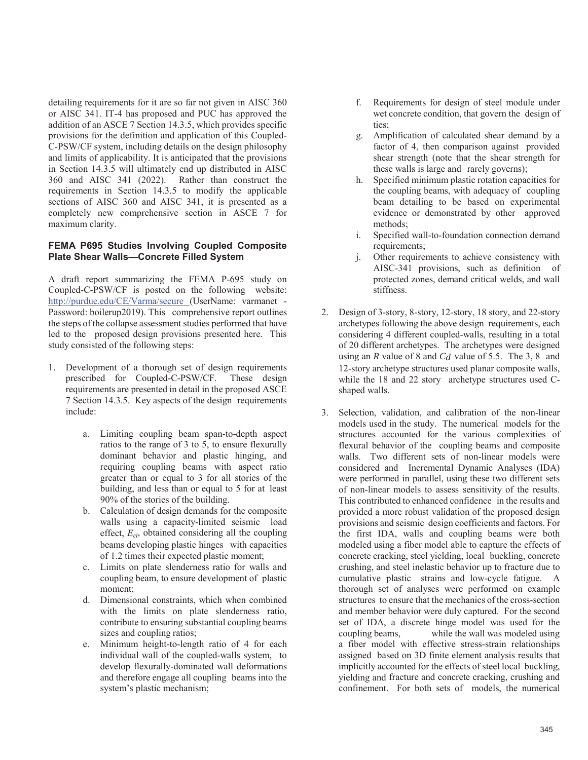detailing requirements for it are so far not given in AISC 360 or AISC 341. IT-4 has proposed and PUC has approved the addition of an ASCE 7 Section 14.3.5, which provides specific provisions for the definition and application of this Coupled-C-PSW/CF system, including details on the design philosophy and limits of applicability. It is anticipated that the provisions in Section 14.3.5 will ultimately end up distributed in AISC 360 and AISC 341 (2022). Rather than construct the requirements in Section 14.3.5 to modify the applicable sections of AISC 360 and AISC 341, it is presented as a completely new comprehensive section in ASCE 7 for maximum clarity.

# **FEMA P695 Studies Involving Coupled Composite Plate Shear Walls—Concrete Filled System**

A draft report summarizing the FEMA P-695 study on Coupled-C-PSW/CF is posted on the following website: http://purdue.edu/CE/Varma/secure (UserName: varmanet - Password: boilerup2019). This comprehensive report outlines the steps of the collapse assessment studies performed that have led to the proposed design provisions presented here. This study consisted of the following steps:

- 1. Development of a thorough set of design requirements prescribed for Coupled-C-PSW/CF. These design requirements are presented in detail in the proposed ASCE 7 Section 14.3.5. Key aspects of the design requirements include:
	- a. Limiting coupling beam span-to-depth aspect ratios to the range of 3 to 5, to ensure flexurally dominant behavior and plastic hinging, and requiring coupling beams with aspect ratio greater than or equal to 3 for all stories of the building, and less than or equal to 5 for at least 90% of the stories of the building.
	- b. Calculation of design demands for the composite walls using a capacity-limited seismic load effect, *Ecl*, obtained considering all the coupling beams developing plastic hinges with capacities of 1.2 times their expected plastic moment;
	- c. Limits on plate slenderness ratio for walls and coupling beam, to ensure development of plastic moment;
	- d. Dimensional constraints, which when combined with the limits on plate slenderness ratio, contribute to ensuring substantial coupling beams sizes and coupling ratios;
	- e. Minimum height-to-length ratio of 4 for each individual wall of the coupled-walls system, to develop flexurally-dominated wall deformations and therefore engage all coupling beams into the system's plastic mechanism;
- f. Requirements for design of steel module under wet concrete condition, that govern the design of ties;
- g. Amplification of calculated shear demand by a factor of 4, then comparison against provided shear strength (note that the shear strength for these walls is large and rarely governs);
- h. Specified minimum plastic rotation capacities for the coupling beams, with adequacy of coupling beam detailing to be based on experimental evidence or demonstrated by other approved methods;
- i. Specified wall-to-foundation connection demand requirements;
- j. Other requirements to achieve consistency with AISC-341 provisions, such as definition of protected zones, demand critical welds, and wall stiffness.
- 2. Design of 3-story, 8-story, 12-story, 18 story, and 22-story archetypes following the above design requirements, each considering 4 different coupled-walls, resulting in a total of 20 different archetypes. The archetypes were designed using an *R* value of 8 and *Cd* value of 5.5. The 3, 8 and 12-story archetype structures used planar composite walls, while the 18 and 22 story archetype structures used Cshaped walls.
- 3. Selection, validation, and calibration of the non-linear models used in the study. The numerical models for the structures accounted for the various complexities of flexural behavior of the coupling beams and composite walls. Two different sets of non-linear models were considered and Incremental Dynamic Analyses (IDA) were performed in parallel, using these two different sets of non-linear models to assess sensitivity of the results. This contributed to enhanced confidence in the results and provided a more robust validation of the proposed design provisions and seismic design coefficients and factors. For the first IDA, walls and coupling beams were both modeled using a fiber model able to capture the effects of concrete cracking, steel yielding, local buckling, concrete crushing, and steel inelastic behavior up to fracture due to cumulative plastic strains and low-cycle fatigue. A thorough set of analyses were performed on example structures to ensure that the mechanics of the cross-section and member behavior were duly captured. For the second set of IDA, a discrete hinge model was used for the coupling beams, while the wall was modeled using a fiber model with effective stress-strain relationships assigned based on 3D finite element analysis results that implicitly accounted for the effects of steel local buckling, yielding and fracture and concrete cracking, crushing and confinement. For both sets of models, the numerical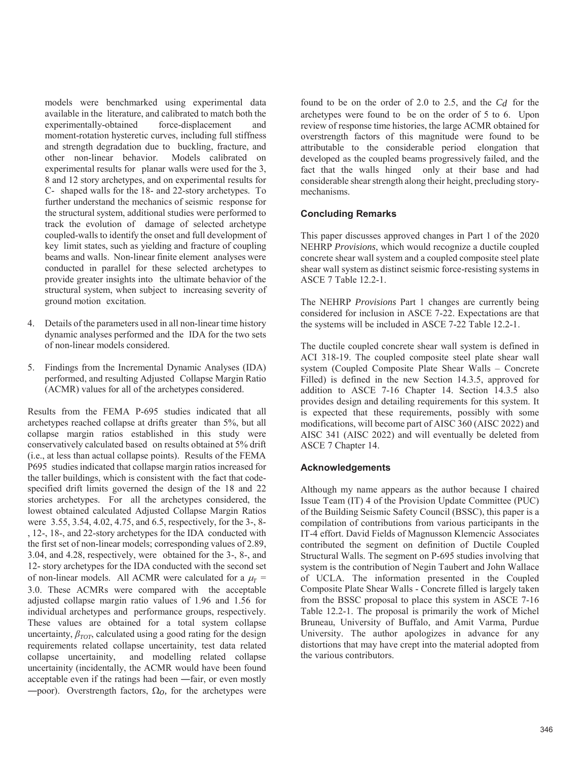models were benchmarked using experimental data available in the literature, and calibrated to match both the experimentally-obtained force-displacement and moment-rotation hysteretic curves, including full stiffness and strength degradation due to buckling, fracture, and other non-linear behavior. Models calibrated on experimental results for planar walls were used for the 3, 8 and 12 story archetypes, and on experimental results for C- shaped walls for the 18- and 22-story archetypes. To further understand the mechanics of seismic response for the structural system, additional studies were performed to track the evolution of damage of selected archetype coupled-walls to identify the onset and full development of key limit states, such as yielding and fracture of coupling beams and walls. Non-linear finite element analyses were conducted in parallel for these selected archetypes to provide greater insights into the ultimate behavior of the structural system, when subject to increasing severity of ground motion excitation.

- 4. Details of the parameters used in all non-linear time history dynamic analyses performed and the IDA for the two sets of non-linear models considered.
- 5. Findings from the Incremental Dynamic Analyses (IDA) performed, and resulting Adjusted Collapse Margin Ratio (ACMR) values for all of the archetypes considered.

Results from the FEMA P-695 studies indicated that all archetypes reached collapse at drifts greater than 5%, but all collapse margin ratios established in this study were conservatively calculated based on results obtained at 5% drift (i.e., at less than actual collapse points). Results of the FEMA P695 studies indicated that collapse margin ratios increased for the taller buildings, which is consistent with the fact that codespecified drift limits governed the design of the 18 and 22 stories archetypes. For all the archetypes considered, the lowest obtained calculated Adjusted Collapse Margin Ratios were 3.55, 3.54, 4.02, 4.75, and 6.5, respectively, for the 3-, 8- , 12-, 18-, and 22-story archetypes for the IDA conducted with the first set of non-linear models; corresponding values of 2.89, 3.04, and 4.28, respectively, were obtained for the 3-, 8-, and 12- story archetypes for the IDA conducted with the second set of non-linear models. All ACMR were calculated for a  $\mu_r$  = 3.0. These ACMRs were compared with the acceptable adjusted collapse margin ratio values of 1.96 and 1.56 for individual archetypes and performance groups, respectively. These values are obtained for a total system collapse uncertainty,  $\beta_{TOT}$ , calculated using a good rating for the design requirements related collapse uncertainity, test data related collapse uncertainity, and modelling related collapse uncertainity (incidentally, the ACMR would have been found acceptable even if the ratings had been -fair, or even mostly  $-poor$ ). Overstrength factors,  $\Omega_0$ , for the archetypes were

found to be on the order of 2.0 to 2.5, and the *Cd* for the archetypes were found to be on the order of 5 to 6. Upon review of response time histories, the large ACMR obtained for overstrength factors of this magnitude were found to be attributable to the considerable period elongation that developed as the coupled beams progressively failed, and the fact that the walls hinged only at their base and had considerable shear strength along their height, precluding storymechanisms.

# **Concluding Remarks**

This paper discusses approved changes in Part 1 of the 2020 NEHRP *Provisions*, which would recognize a ductile coupled concrete shear wall system and a coupled composite steel plate shear wall system as distinct seismic force-resisting systems in ASCE 7 Table 12.2-1.

The NEHRP *Provisions* Part 1 changes are currently being considered for inclusion in ASCE 7-22. Expectations are that the systems will be included in ASCE 7-22 Table 12.2-1.

The ductile coupled concrete shear wall system is defined in ACI 318-19. The coupled composite steel plate shear wall system (Coupled Composite Plate Shear Walls – Concrete Filled) is defined in the new Section 14.3.5, approved for addition to ASCE 7-16 Chapter 14. Section 14.3.5 also provides design and detailing requirements for this system. It is expected that these requirements, possibly with some modifications, will become part of AISC 360 (AISC 2022) and AISC 341 (AISC 2022) and will eventually be deleted from ASCE 7 Chapter 14.

#### **Acknowledgements**

Although my name appears as the author because I chaired Issue Team (IT) 4 of the Provision Update Committee (PUC) of the Building Seismic Safety Council (BSSC), this paper is a compilation of contributions from various participants in the IT-4 effort. David Fields of Magnusson Klemencic Associates contributed the segment on definition of Ductile Coupled Structural Walls. The segment on P-695 studies involving that system is the contribution of Negin Taubert and John Wallace of UCLA. The information presented in the Coupled Composite Plate Shear Walls - Concrete filled is largely taken from the BSSC proposal to place this system in ASCE 7-16 Table 12.2-1. The proposal is primarily the work of Michel Bruneau, University of Buffalo, and Amit Varma, Purdue University. The author apologizes in advance for any distortions that may have crept into the material adopted from the various contributors.